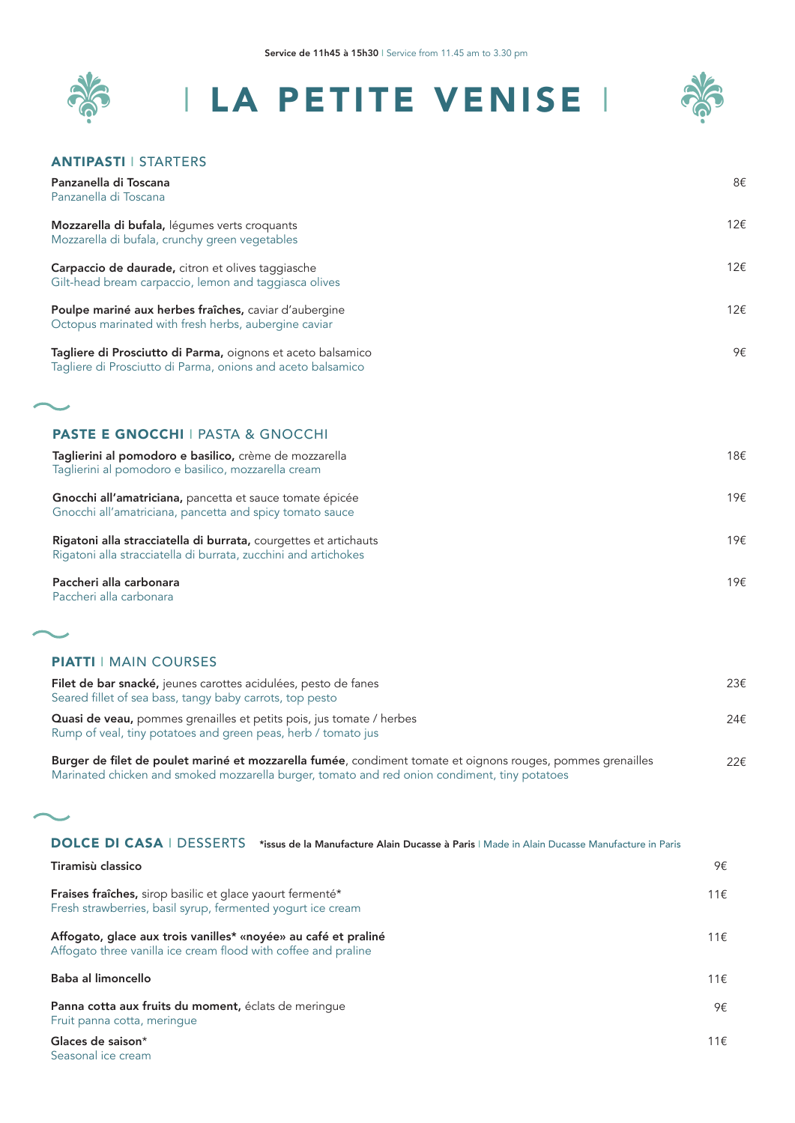



#### ANTIPASTI I STARTERS

Panzanella di Toscana Panzanella di Toscana

8€

| ı anzancıla ul roscana                                                                                                              |     |
|-------------------------------------------------------------------------------------------------------------------------------------|-----|
| Mozzarella di bufala, légumes verts croquants<br>Mozzarella di bufala, crunchy green vegetables                                     | 12€ |
| Carpaccio de daurade, citron et olives taggiasche<br>Gilt-head bream carpaccio, lemon and taggiasca olives                          | 12€ |
| Poulpe mariné aux herbes fraîches, caviar d'aubergine<br>Octopus marinated with fresh herbs, aubergine caviar                       | 12€ |
| Tagliere di Prosciutto di Parma, oignons et aceto balsamico<br>Tagliere di Prosciutto di Parma, onions and aceto balsamico          | 9€  |
|                                                                                                                                     |     |
| <b>PASTE E GNOCCHI I PASTA &amp; GNOCCHI</b>                                                                                        |     |
| Taglierini al pomodoro e basilico, crème de mozzarella<br>Taglierini al pomodoro e basilico, mozzarella cream                       | 18€ |
| Gnocchi all'amatriciana, pancetta et sauce tomate épicée<br>Gnocchi all'amatriciana, pancetta and spicy tomato sauce                | 19€ |
| Rigatoni alla stracciatella di burrata, courgettes et artichauts<br>Rigatoni alla stracciatella di burrata, zucchini and artichokes | 19€ |
| Paccheri alla carbonara                                                                                                             | 19€ |

Paccheri alla carbonara

ت

Seasonal ice cream

## PIATTI I MAIN COURSES

| Filet de bar snacké, jeunes carottes acidulées, pesto de fanes<br>Seared fillet of sea bass, tangy baby carrots, top pesto                                                                                   | 23€ |
|--------------------------------------------------------------------------------------------------------------------------------------------------------------------------------------------------------------|-----|
| Quasi de veau, pommes grenailles et petits pois, jus tomate / herbes<br>Rump of veal, tiny potatoes and green peas, herb / tomato jus                                                                        | 24E |
| Burger de filet de poulet mariné et mozzarella fumée, condiment tomate et oignons rouges, pommes grenailles<br>Marinated chicken and smoked mozzarella burger, tomato and red onion condiment, tiny potatoes | 22f |

DOLCE DI CASA I DESSERTS \*issus de la Manufacture Alain Ducasse à Paris I Made in Alain Ducasse Manufacture in Paris

| Tiramisù classico                                                                                                                | 9€  |
|----------------------------------------------------------------------------------------------------------------------------------|-----|
| <b>Fraises fraîches, sirop basilic et glace yaourt fermenté*</b><br>Fresh strawberries, basil syrup, fermented yogurt ice cream  | 11€ |
| Affogato, glace aux trois vanilles* «noyée» au café et praliné<br>Affogato three vanilla ice cream flood with coffee and praline | 11€ |
| Baba al limoncello                                                                                                               | 11€ |
| Panna cotta aux fruits du moment, éclats de merinque<br>Fruit panna cotta, merinque                                              | 9€  |
| Glaces de saison*                                                                                                                | 11€ |